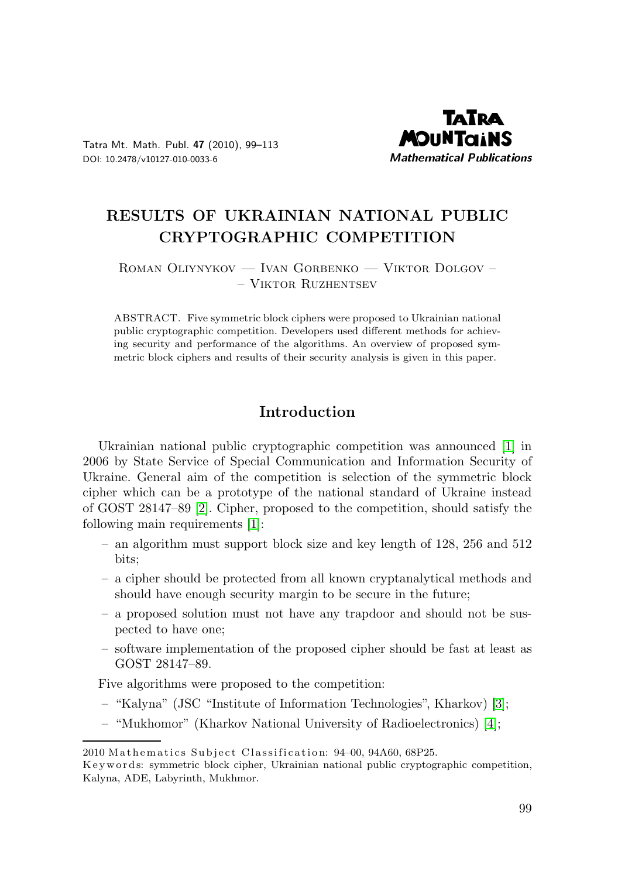

Tatra Mt. Math. Publ. 47 (2010), 99–113 DOI: 10.2478/v10127-010-0033-6

# RESULTS OF UKRAINIAN NATIONAL PUBLIC CRYPTOGRAPHIC COMPETITION

Roman Oliynykov — Ivan Gorbenko — Viktor Dolgov – – Viktor Ruzhentsev

ABSTRACT. Five symmetric block ciphers were proposed to Ukrainian national public cryptographic competition. Developers used different methods for achieving security and performance of the algorithms. An overview of proposed symmetric block ciphers and results of their security analysis is given in this paper.

# Introduction

Ukrainian national public cryptographic competition was announced [1] in 2006 by State Service of Special Communication and Information Security of Ukraine. General aim of the competition is selection of the symmetric block cipher which can be a prototype of the national standard of Ukraine instead of GOST 28147–89 [2]. Cipher, proposed to the competition, should satisfy the following main requirements [1]:

- an algorithm must support block size and key length of 128, 256 and 512 bits;
- a cipher should be protected from all known cryptanalytical methods and should have enough security margin to be secure in the future;
- a proposed solution must not have any trapdoor and should not be suspected to have one;
- software implementation of the proposed cipher should be fast at least as GOST 28147–89.

Five algorithms were proposed to the competition:

- "Kalyna" (JSC "Institute of Information Technologies", Kharkov) [3];
- "Mukhomor" (Kharkov National University of Radioelectronics) [4];

<sup>2010</sup> Mathematics Subject Classification: 94-00, 94A60, 68P25.

K ey w ords: symmetric block cipher, Ukrainian national public cryptographic competition, Kalyna, ADE, Labyrinth, Mukhmor.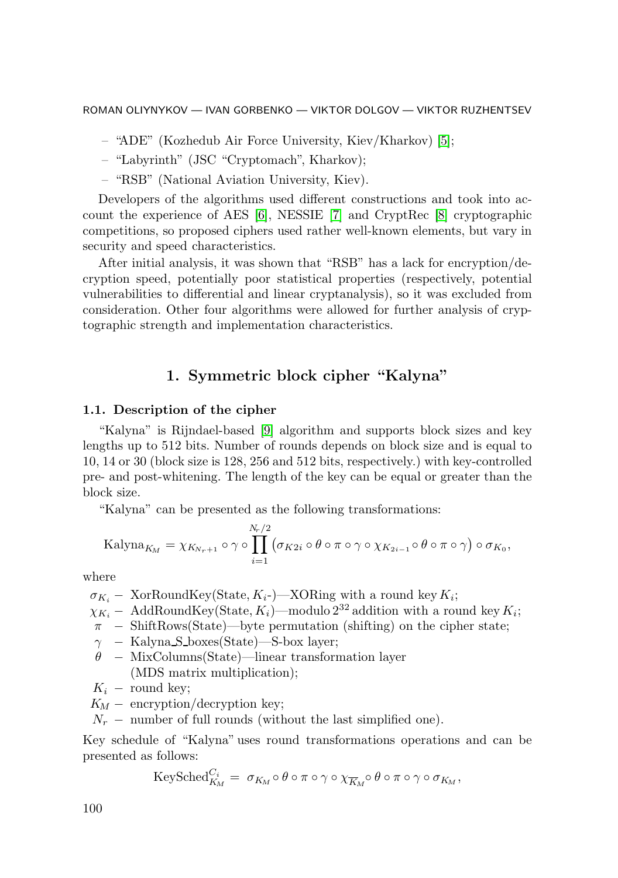- "ADE" (Kozhedub Air Force University, Kiev/Kharkov) [5];
- "Labyrinth" (JSC "Cryptomach", Kharkov);
- "RSB" (National Aviation University, Kiev).

Developers of the algorithms used different constructions and took into account the experience of AES [6], NESSIE [7] and CryptRec [8] cryptographic competitions, so proposed ciphers used rather well-known elements, but vary in security and speed characteristics.

After initial analysis, it was shown that "RSB" has a lack for encryption/decryption speed, potentially poor statistical properties (respectively, potential vulnerabilities to differential and linear cryptanalysis), so it was excluded from consideration. Other four algorithms were allowed for further analysis of cryptographic strength and implementation characteristics.

# 1. Symmetric block cipher "Kalyna"

#### 1.1. Description of the cipher

"Kalyna" is Rijndael-based [9] algorithm and supports block sizes and key lengths up to 512 bits. Number of rounds depends on block size and is equal to 10, 14 or 30 (block size is 128, 256 and 512 bits, respectively.) with key-controlled pre- and post-whitening. The length of the key can be equal or greater than the block size.

"Kalyna" can be presented as the following transformations:

Kalyna<sub>*Kn*</sub> = 
$$
\chi_{K_{N_r+1}} \circ \gamma \circ \prod_{i=1}^{N_r/2} (\sigma_{K2i} \circ \theta \circ \pi \circ \gamma \circ \chi_{K_{2i-1}} \circ \theta \circ \pi \circ \gamma) \circ \sigma_{K_0},
$$

where

 $\sigma_{K_i}$  – XorRoundKey(State,  $K_i$ -)—XORing with a round key  $K_i$ ;

 $\chi_{K_i}$  – AddRoundKey(State,  $K_i$ )—modulo  $2^{32}$  addition with a round key  $K_i$ ;

- π − ShiftRows(State)—byte permutation (shifting) on the cipher state;
- γ − Kalyna S boxes(State)—S-box layer;
- θ − MixColumns(State)—linear transformation layer (MDS matrix multiplication);
- $K_i$  round key;
- $K_M$  encryption/decryption key;
- $N_r$  number of full rounds (without the last simplified one).

Key schedule of "Kalyna" uses round transformations operations and can be presented as follows:

$$
\text{KeySched}_{K_M}^{C_i} = \sigma_{K_M} \circ \theta \circ \pi \circ \gamma \circ \chi_{\overline{K_M}} \circ \theta \circ \pi \circ \gamma \circ \sigma_{K_M},
$$

100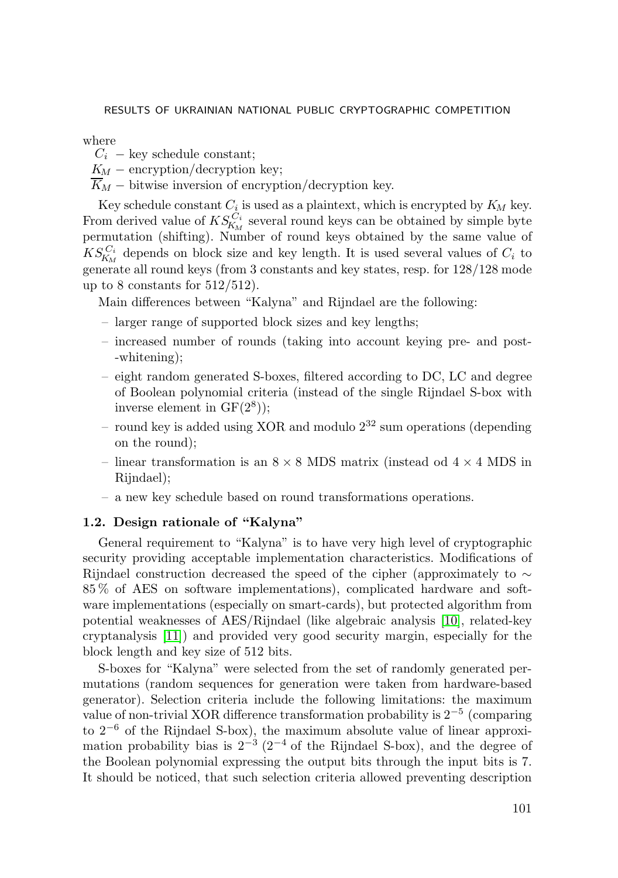#### where

- $C_i$  key schedule constant;
- $K_M$  encryption/decryption key;
- $\overline{K}_M$  bitwise inversion of encryption/decryption key.

Key schedule constant  $C_i$  is used as a plaintext, which is encrypted by  $K_M$  key. From derived value of  $KS_{K_M}^{C_i}$  several round keys can be obtained by simple byte permutation (shifting). Number of round keys obtained by the same value of  $KS_{K_M}^{C_i}$  depends on block size and key length. It is used several values of  $C_i$  to generate all round keys (from 3 constants and key states, resp. for  $128/128$  mode up to 8 constants for  $512/512$ .

Main differences between "Kalyna" and Rijndael are the following:

- larger range of supported block sizes and key lengths;
- increased number of rounds (taking into account keying pre- and post- -whitening);
- eight random generated S-boxes, filtered according to DC, LC and degree of Boolean polynomial criteria (instead of the single Rijndael S-box with inverse element in  $GF(2^8)$ ;
- round key is added using XOR and modulo  $2^{32}$  sum operations (depending on the round);
- linear transformation is an  $8 \times 8$  MDS matrix (instead od  $4 \times 4$  MDS in Rijndael);
- a new key schedule based on round transformations operations.

### 1.2. Design rationale of "Kalyna"

General requirement to "Kalyna" is to have very high level of cryptographic security providing acceptable implementation characteristics. Modifications of Rijndael construction decreased the speed of the cipher (approximately to ∼ 85 % of AES on software implementations), complicated hardware and software implementations (especially on smart-cards), but protected algorithm from potential weaknesses of AES/Rijndael (like algebraic analysis [10], related-key cryptanalysis [11]) and provided very good security margin, especially for the block length and key size of 512 bits.

S-boxes for "Kalyna" were selected from the set of randomly generated permutations (random sequences for generation were taken from hardware-based generator). Selection criteria include the following limitations: the maximum value of non-trivial XOR difference transformation probability is 2<sup>−</sup><sup>5</sup> (comparing to  $2^{-6}$  of the Rijndael S-box), the maximum absolute value of linear approximation probability bias is  $2^{-3}$  (2<sup>-4</sup> of the Rijndael S-box), and the degree of the Boolean polynomial expressing the output bits through the input bits is 7. It should be noticed, that such selection criteria allowed preventing description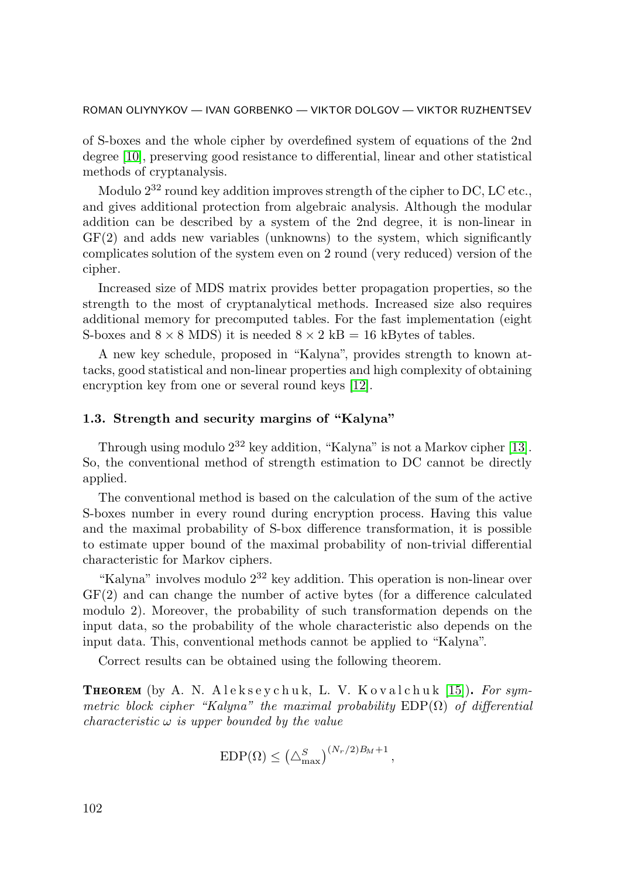of S-boxes and the whole cipher by overdefined system of equations of the 2nd degree [10], preserving good resistance to differential, linear and other statistical methods of cryptanalysis.

Modulo  $2^{32}$  round key addition improves strength of the cipher to DC, LC etc., and gives additional protection from algebraic analysis. Although the modular addition can be described by a system of the 2nd degree, it is non-linear in GF(2) and adds new variables (unknowns) to the system, which significantly complicates solution of the system even on 2 round (very reduced) version of the cipher.

Increased size of MDS matrix provides better propagation properties, so the strength to the most of cryptanalytical methods. Increased size also requires additional memory for precomputed tables. For the fast implementation (eight S-boxes and  $8 \times 8$  MDS) it is needed  $8 \times 2$  kB = 16 kBytes of tables.

A new key schedule, proposed in "Kalyna", provides strength to known attacks, good statistical and non-linear properties and high complexity of obtaining encryption key from one or several round keys [12].

#### 1.3. Strength and security margins of "Kalyna"

Through using modulo  $2^{32}$  key addition, "Kalyna" is not a Markov cipher [13]. So, the conventional method of strength estimation to DC cannot be directly applied.

The conventional method is based on the calculation of the sum of the active S-boxes number in every round during encryption process. Having this value and the maximal probability of S-box difference transformation, it is possible to estimate upper bound of the maximal probability of non-trivial differential characteristic for Markov ciphers.

"Kalyna" involves modulo  $2^{32}$  key addition. This operation is non-linear over GF(2) and can change the number of active bytes (for a difference calculated modulo 2). Moreover, the probability of such transformation depends on the input data, so the probability of the whole characteristic also depends on the input data. This, conventional methods cannot be applied to "Kalyna".

Correct results can be obtained using the following theorem.

**THEOREM** (by A. N. A leksey chuk, L. V. Kovalchuk [15]). For symmetric block cipher "Kalyna" the maximal probability  $EDP(\Omega)$  of differential characteristic  $\omega$  is upper bounded by the value

$$
EDP(\Omega) \leq (\triangle_{\text{max}}^S)^{(N_r/2)B_M+1},
$$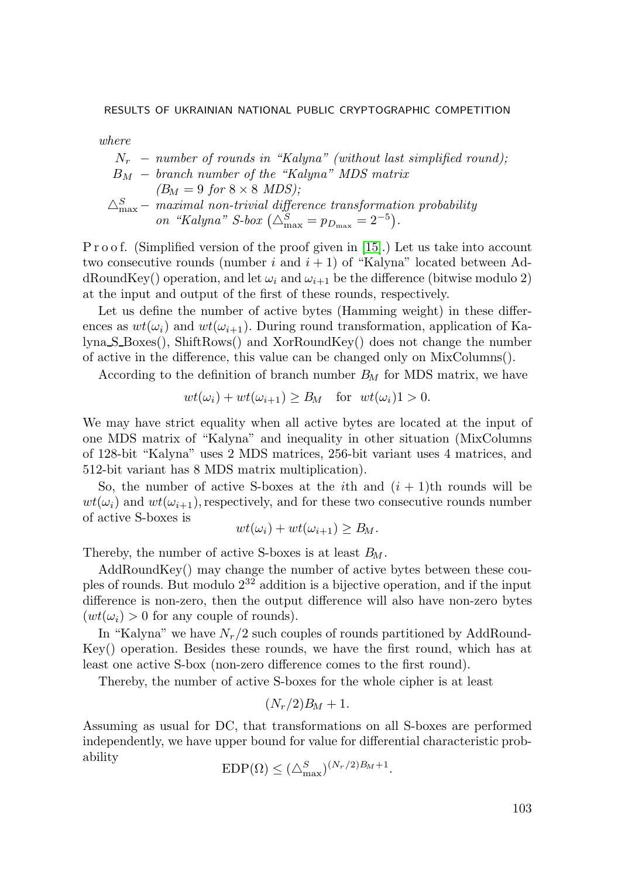where

$$
N_r \t - number of rounds in "Kalyna" (without last simplified round);
$$
  
\n
$$
B_M \t - branch number of the "Kalyna" MDS matrix
$$
  
\n
$$
(B_M = 9 \text{ for } 8 \times 8 \text{ MDS});
$$
  
\n
$$
\triangle_{\text{max}}^S - \text{ maximal non-trivial difference transformation probability}
$$
  
\n
$$
on \text{ "Kalyna" } S\text{-box } (\triangle_{\text{max}}^S = p_{D_{\text{max}}} = 2^{-5}).
$$

P r o o f. (Simplified version of the proof given in [15].) Let us take into account two consecutive rounds (number i and  $i + 1$ ) of "Kalyna" located between AddRoundKey() operation, and let  $\omega_i$  and  $\omega_{i+1}$  be the difference (bitwise modulo 2) at the input and output of the first of these rounds, respectively.

Let us define the number of active bytes (Hamming weight) in these differences as  $wt(\omega_i)$  and  $wt(\omega_{i+1})$ . During round transformation, application of Kalyna S Boxes(), ShiftRows() and XorRoundKey() does not change the number of active in the difference, this value can be changed only on MixColumns().

According to the definition of branch number  $B_M$  for MDS matrix, we have

$$
wt(\omega_i)+wt(\omega_{i+1})\geq B_M \quad \text{for} \ \ wt(\omega_i)1>0.
$$

We may have strict equality when all active bytes are located at the input of one MDS matrix of "Kalyna" and inequality in other situation (MixColumns of 128-bit "Kalyna" uses 2 MDS matrices, 256-bit variant uses 4 matrices, and 512-bit variant has 8 MDS matrix multiplication).

So, the number of active S-boxes at the *i*th and  $(i + 1)$ th rounds will be  $wt(\omega_i)$  and  $wt(\omega_{i+1})$ , respectively, and for these two consecutive rounds number of active S-boxes is

$$
wt(\omega_i)+wt(\omega_{i+1})\geq B_M.
$$

Thereby, the number of active S-boxes is at least  $B_M$ .

AddRoundKey() may change the number of active bytes between these couples of rounds. But modulo  $2^{32}$  addition is a bijective operation, and if the input difference is non-zero, then the output difference will also have non-zero bytes  $(wt(\omega_i) > 0$  for any couple of rounds).

In "Kalyna" we have  $N_r/2$  such couples of rounds partitioned by AddRound-Key() operation. Besides these rounds, we have the first round, which has at least one active S-box (non-zero difference comes to the first round).

Thereby, the number of active S-boxes for the whole cipher is at least

$$
(N_r/2)B_M + 1.
$$

Assuming as usual for DC, that transformations on all S-boxes are performed independently, we have upper bound for value for differential characteristic probability

$$
EDP(\Omega) \leq (\triangle_{\text{max}}^S)^{(N_r/2)B_M+1}.
$$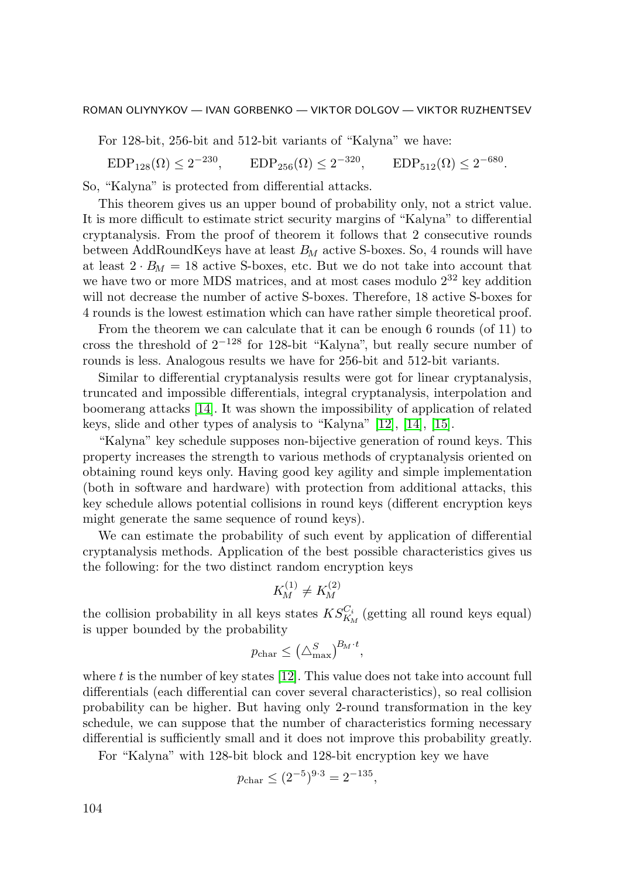For 128-bit, 256-bit and 512-bit variants of "Kalyna" we have:

 $EDP_{128}(\Omega) \le 2^{-230}$ ,  $EDP_{256}(\Omega) \le 2^{-320}$ ,  $EDP_{512}(\Omega) \le 2^{-680}$ .

So, "Kalyna" is protected from differential attacks.

This theorem gives us an upper bound of probability only, not a strict value. It is more difficult to estimate strict security margins of "Kalyna" to differential cryptanalysis. From the proof of theorem it follows that 2 consecutive rounds between AddRoundKeys have at least  $B_M$  active S-boxes. So, 4 rounds will have at least  $2 \cdot B_M = 18$  active S-boxes, etc. But we do not take into account that we have two or more MDS matrices, and at most cases modulo  $2^{32}$  key addition will not decrease the number of active S-boxes. Therefore, 18 active S-boxes for 4 rounds is the lowest estimation which can have rather simple theoretical proof.

From the theorem we can calculate that it can be enough 6 rounds (of 11) to cross the threshold of 2<sup>−</sup><sup>128</sup> for 128-bit "Kalyna", but really secure number of rounds is less. Analogous results we have for 256-bit and 512-bit variants.

Similar to differential cryptanalysis results were got for linear cryptanalysis, truncated and impossible differentials, integral cryptanalysis, interpolation and boomerang attacks [14]. It was shown the impossibility of application of related keys, slide and other types of analysis to "Kalyna" [12], [14], [15].

"Kalyna" key schedule supposes non-bijective generation of round keys. This property increases the strength to various methods of cryptanalysis oriented on obtaining round keys only. Having good key agility and simple implementation (both in software and hardware) with protection from additional attacks, this key schedule allows potential collisions in round keys (different encryption keys might generate the same sequence of round keys).

We can estimate the probability of such event by application of differential cryptanalysis methods. Application of the best possible characteristics gives us the following: for the two distinct random encryption keys

$$
K_M^{(1)} \neq K_M^{(2)}
$$

the collision probability in all keys states  $KS_{K_M}^{C_i}$  (getting all round keys equal) is upper bounded by the probability

$$
p_{\text{char}} \leq \left(\triangle_{\text{max}}^S\right)^{B_M \cdot t},
$$

where  $t$  is the number of key states  $[12]$ . This value does not take into account full differentials (each differential can cover several characteristics), so real collision probability can be higher. But having only 2-round transformation in the key schedule, we can suppose that the number of characteristics forming necessary differential is sufficiently small and it does not improve this probability greatly.

For "Kalyna" with 128-bit block and 128-bit encryption key we have

$$
p_{\text{char}} \leq (2^{-5})^{9 \cdot 3} = 2^{-135},
$$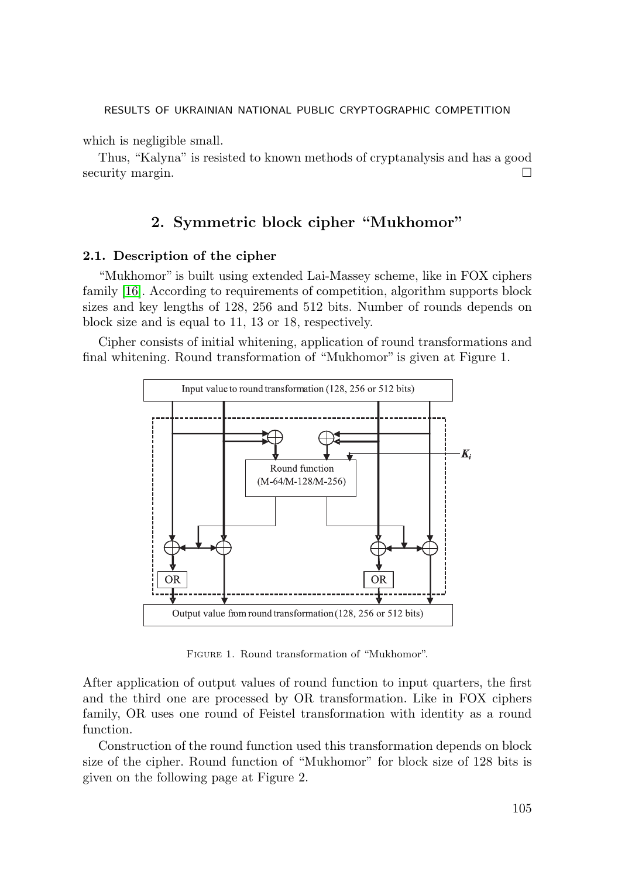which is negligible small.

Thus, "Kalyna" is resisted to known methods of cryptanalysis and has a good security margin.

# 2. Symmetric block cipher "Mukhomor"

### 2.1. Description of the cipher

"Mukhomor" is built using extended Lai-Massey scheme, like in FOX ciphers family [16]. According to requirements of competition, algorithm supports block sizes and key lengths of 128, 256 and 512 bits. Number of rounds depends on block size and is equal to 11, 13 or 18, respectively.

Cipher consists of initial whitening, application of round transformations and final whitening. Round transformation of "Mukhomor" is given at Figure 1.



Figure 1. Round transformation of "Mukhomor".

After application of output values of round function to input quarters, the first and the third one are processed by OR transformation. Like in FOX ciphers family, OR uses one round of Feistel transformation with identity as a round function.

Construction of the round function used this transformation depends on block size of the cipher. Round function of "Mukhomor" for block size of 128 bits is given on the following page at Figure 2.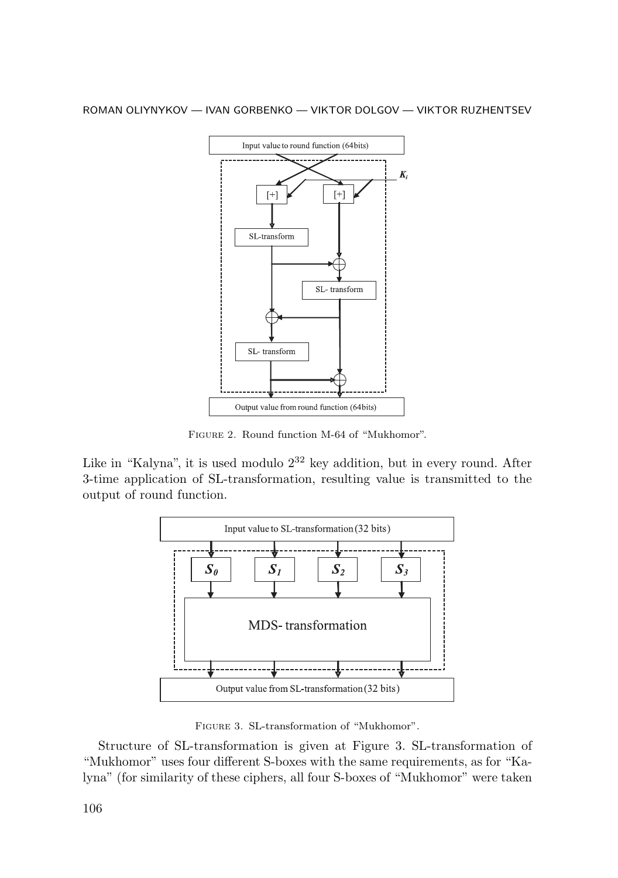

Figure 2. Round function M-64 of "Mukhomor".

Like in "Kalyna", it is used modulo  $2^{32}$  key addition, but in every round. After 3-time application of SL-transformation, resulting value is transmitted to the output of round function.



Figure 3. SL-transformation of "Mukhomor".

Structure of SL-transformation is given at Figure 3. SL-transformation of "Mukhomor" uses four different S-boxes with the same requirements, as for "Kalyna" (for similarity of these ciphers, all four S-boxes of "Mukhomor" were taken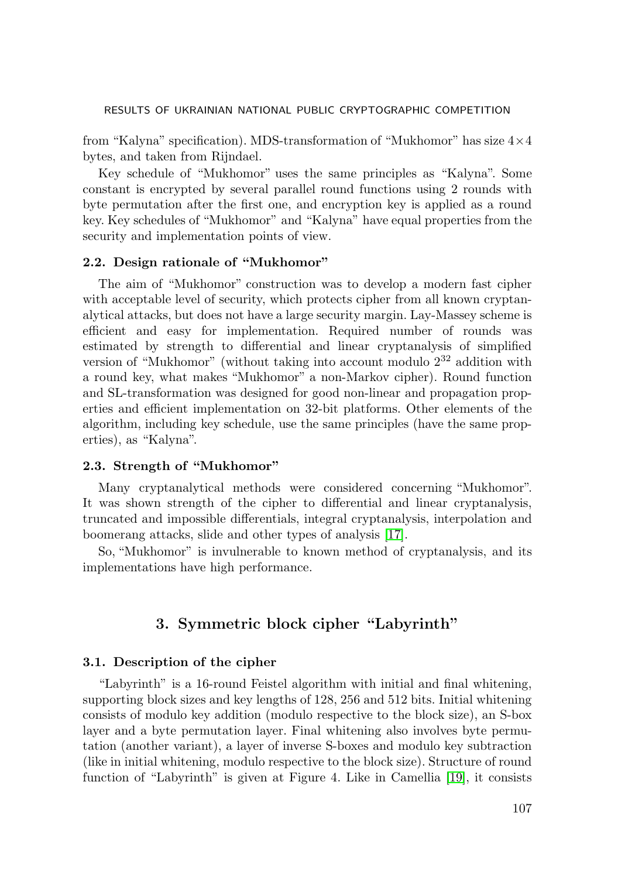from "Kalyna" specification). MDS-transformation of "Mukhomor" has size  $4\times4$ bytes, and taken from Rijndael.

Key schedule of "Mukhomor" uses the same principles as "Kalyna". Some constant is encrypted by several parallel round functions using 2 rounds with byte permutation after the first one, and encryption key is applied as a round key. Key schedules of "Mukhomor" and "Kalyna" have equal properties from the security and implementation points of view.

### 2.2. Design rationale of "Mukhomor"

The aim of "Mukhomor" construction was to develop a modern fast cipher with acceptable level of security, which protects cipher from all known cryptanalytical attacks, but does not have a large security margin. Lay-Massey scheme is efficient and easy for implementation. Required number of rounds was estimated by strength to differential and linear cryptanalysis of simplified version of "Mukhomor" (without taking into account modulo  $2^{32}$  addition with a round key, what makes "Mukhomor" a non-Markov cipher). Round function and SL-transformation was designed for good non-linear and propagation properties and efficient implementation on 32-bit platforms. Other elements of the algorithm, including key schedule, use the same principles (have the same properties), as "Kalyna".

### 2.3. Strength of "Mukhomor"

Many cryptanalytical methods were considered concerning "Mukhomor". It was shown strength of the cipher to differential and linear cryptanalysis, truncated and impossible differentials, integral cryptanalysis, interpolation and boomerang attacks, slide and other types of analysis [17].

So, "Mukhomor" is invulnerable to known method of cryptanalysis, and its implementations have high performance.

# 3. Symmetric block cipher "Labyrinth"

#### 3.1. Description of the cipher

"Labyrinth" is a 16-round Feistel algorithm with initial and final whitening, supporting block sizes and key lengths of 128, 256 and 512 bits. Initial whitening consists of modulo key addition (modulo respective to the block size), an S-box layer and a byte permutation layer. Final whitening also involves byte permutation (another variant), a layer of inverse S-boxes and modulo key subtraction (like in initial whitening, modulo respective to the block size). Structure of round function of "Labyrinth" is given at Figure 4. Like in Camellia [19], it consists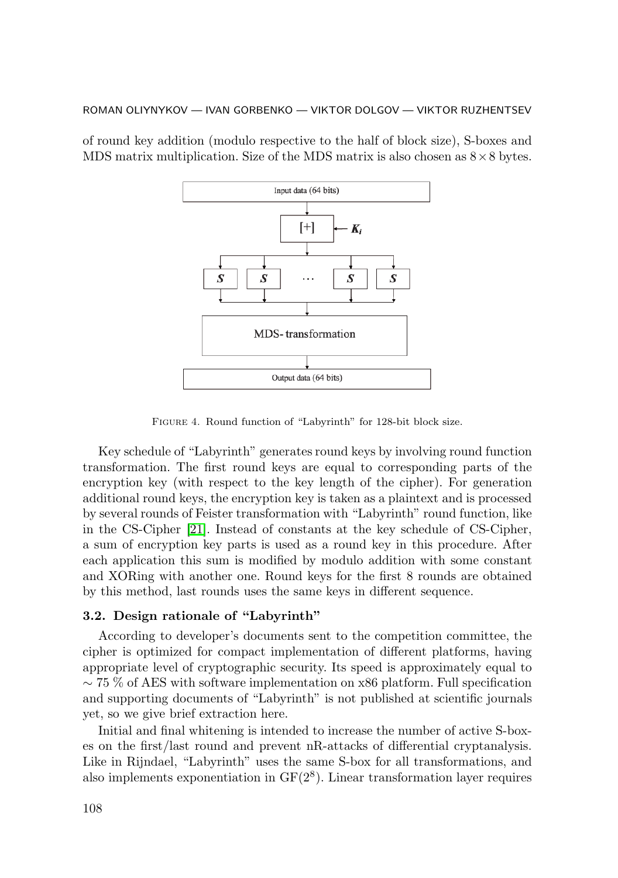of round key addition (modulo respective to the half of block size), S-boxes and MDS matrix multiplication. Size of the MDS matrix is also chosen as  $8 \times 8$  bytes.



Figure 4. Round function of "Labyrinth" for 128-bit block size.

Key schedule of "Labyrinth" generates round keys by involving round function transformation. The first round keys are equal to corresponding parts of the encryption key (with respect to the key length of the cipher). For generation additional round keys, the encryption key is taken as a plaintext and is processed by several rounds of Feister transformation with "Labyrinth" round function, like in the CS-Cipher [21]. Instead of constants at the key schedule of CS-Cipher, a sum of encryption key parts is used as a round key in this procedure. After each application this sum is modified by modulo addition with some constant and XORing with another one. Round keys for the first 8 rounds are obtained by this method, last rounds uses the same keys in different sequence.

### 3.2. Design rationale of "Labyrinth"

According to developer's documents sent to the competition committee, the cipher is optimized for compact implementation of different platforms, having appropriate level of cryptographic security. Its speed is approximately equal to ∼ 75 % of AES with software implementation on x86 platform. Full specification and supporting documents of "Labyrinth" is not published at scientific journals yet, so we give brief extraction here.

Initial and final whitening is intended to increase the number of active S-boxes on the first/last round and prevent nR-attacks of differential cryptanalysis. Like in Rijndael, "Labyrinth" uses the same S-box for all transformations, and also implements exponentiation in  $GF(2<sup>8</sup>)$ . Linear transformation layer requires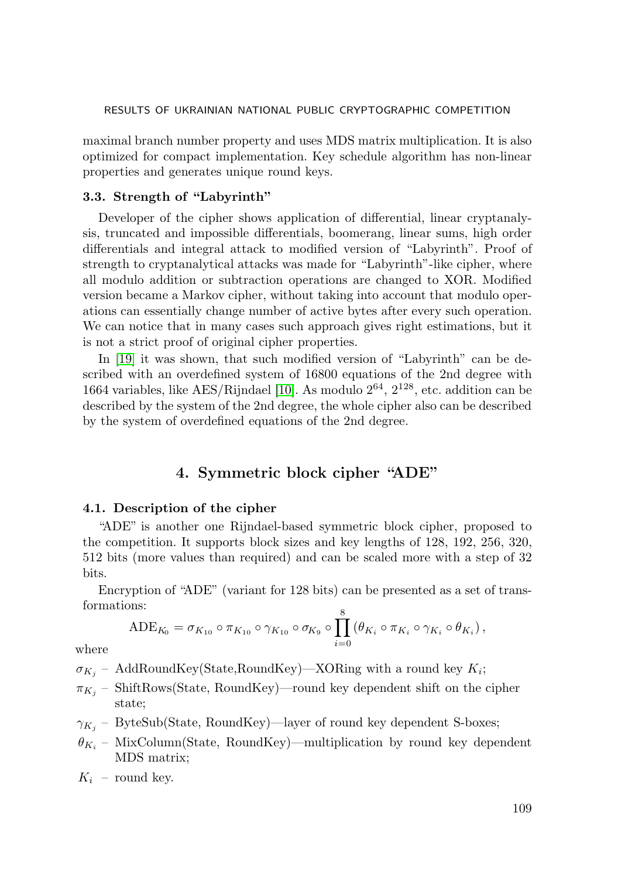maximal branch number property and uses MDS matrix multiplication. It is also optimized for compact implementation. Key schedule algorithm has non-linear properties and generates unique round keys.

### 3.3. Strength of "Labyrinth"

Developer of the cipher shows application of differential, linear cryptanalysis, truncated and impossible differentials, boomerang, linear sums, high order differentials and integral attack to modified version of "Labyrinth". Proof of strength to cryptanalytical attacks was made for "Labyrinth"-like cipher, where all modulo addition or subtraction operations are changed to XOR. Modified version became a Markov cipher, without taking into account that modulo operations can essentially change number of active bytes after every such operation. We can notice that in many cases such approach gives right estimations, but it is not a strict proof of original cipher properties.

In [19] it was shown, that such modified version of "Labyrinth" can be described with an overdefined system of 16800 equations of the 2nd degree with 1664 variables, like  $\text{AES}/\text{Rijndael}$  [10]. As modulo  $2^{64}$ ,  $2^{128}$ , etc. addition can be described by the system of the 2nd degree, the whole cipher also can be described by the system of overdefined equations of the 2nd degree.

# 4. Symmetric block cipher "ADE"

#### 4.1. Description of the cipher

"ADE" is another one Rijndael-based symmetric block cipher, proposed to the competition. It supports block sizes and key lengths of 128, 192, 256, 320, 512 bits (more values than required) and can be scaled more with a step of 32 bits.

Encryption of "ADE" (variant for 128 bits) can be presented as a set of transformations:  $\circ$ 

$$
ADE_{K_0} = \sigma_{K_{10}} \circ \pi_{K_{10}} \circ \gamma_{K_{10}} \circ \sigma_{K_9} \circ \prod_{i=0}^{8} (\theta_{K_i} \circ \pi_{K_i} \circ \gamma_{K_i} \circ \theta_{K_i}),
$$

where

- $\sigma_{K_j}$  AddRoundKey(State,RoundKey)—XORing with a round key  $K_i$ ;
- $\pi_{K_j}$  ShiftRows(State, RoundKey)—round key dependent shift on the cipher state;
- $\gamma_{K_j}$  ByteSub(State, RoundKey)—layer of round key dependent S-boxes;
- $\theta_{K_i}$  MixColumn(State, RoundKey)—multiplication by round key dependent MDS matrix;
- $K_i$  round key.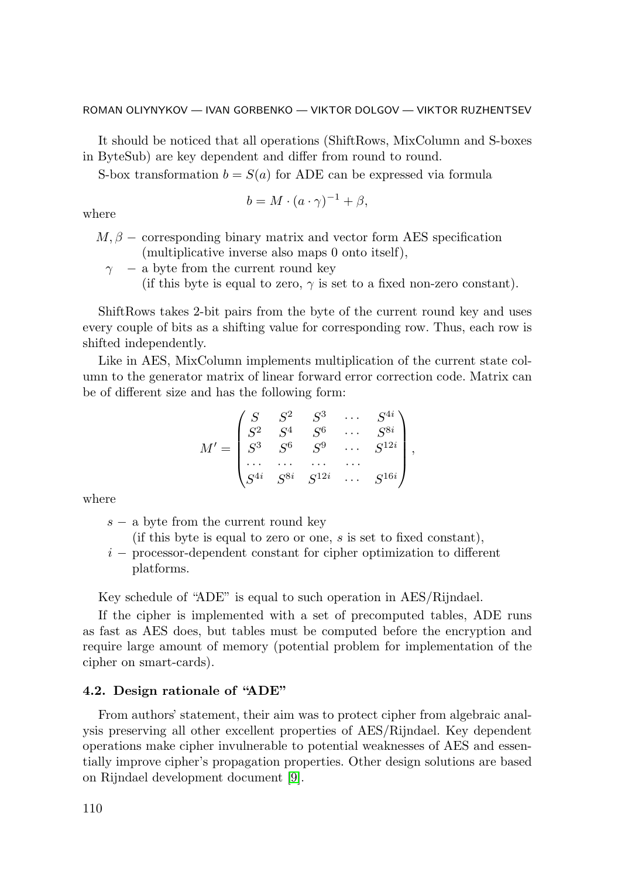It should be noticed that all operations (ShiftRows, MixColumn and S-boxes in ByteSub) are key dependent and differ from round to round.

S-box transformation  $b = S(a)$  for ADE can be expressed via formula

$$
b = M \cdot (a \cdot \gamma)^{-1} + \beta,
$$

where

- $M, \beta$  corresponding binary matrix and vector form AES specification (multiplicative inverse also maps 0 onto itself),
	- $\gamma$  a byte from the current round key
		- (if this byte is equal to zero,  $\gamma$  is set to a fixed non-zero constant).

ShiftRows takes 2-bit pairs from the byte of the current round key and uses every couple of bits as a shifting value for corresponding row. Thus, each row is shifted independently.

Like in AES, MixColumn implements multiplication of the current state column to the generator matrix of linear forward error correction code. Matrix can be of different size and has the following form:

$$
M' = \begin{pmatrix} S & S^2 & S^3 & \cdots & S^{4i} \\ S^2 & S^4 & S^6 & \cdots & S^{8i} \\ S^3 & S^6 & S^9 & \cdots & S^{12i} \\ \cdots & \cdots & \cdots & \cdots & \cdots \\ S^{4i} & S^{8i} & S^{12i} & \cdots & S^{16i} \end{pmatrix},
$$

where

- s − a byte from the current round key
	- (if this byte is equal to zero or one,  $s$  is set to fixed constant),
- i − processor-dependent constant for cipher optimization to different platforms.

Key schedule of "ADE" is equal to such operation in AES/Rijndael.

If the cipher is implemented with a set of precomputed tables, ADE runs as fast as AES does, but tables must be computed before the encryption and require large amount of memory (potential problem for implementation of the cipher on smart-cards).

#### 4.2. Design rationale of "ADE"

From authors' statement, their aim was to protect cipher from algebraic analysis preserving all other excellent properties of AES/Rijndael. Key dependent operations make cipher invulnerable to potential weaknesses of AES and essentially improve cipher's propagation properties. Other design solutions are based on Rijndael development document [9].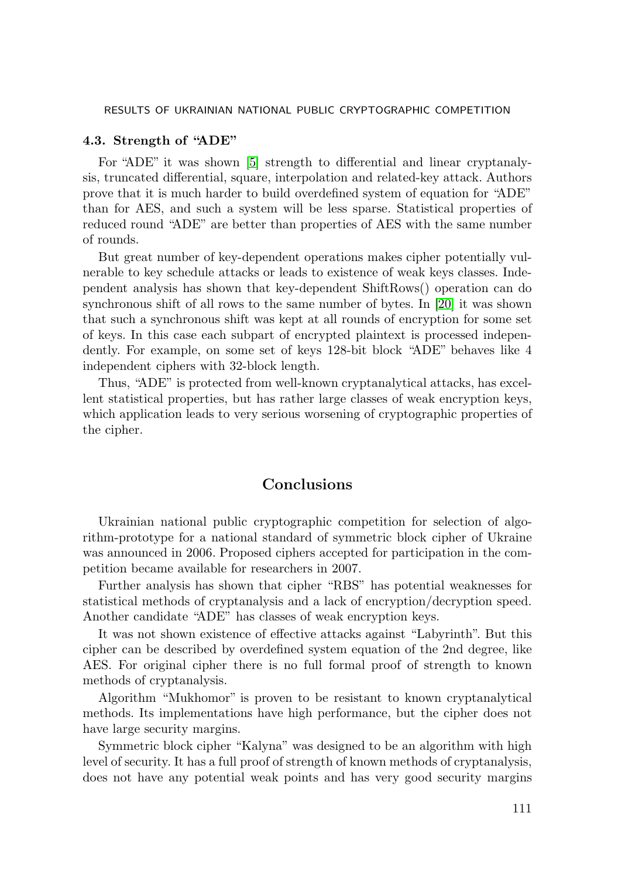#### 4.3. Strength of "ADE"

For "ADE" it was shown [5] strength to differential and linear cryptanalysis, truncated differential, square, interpolation and related-key attack. Authors prove that it is much harder to build overdefined system of equation for "ADE" than for AES, and such a system will be less sparse. Statistical properties of reduced round "ADE" are better than properties of AES with the same number of rounds.

But great number of key-dependent operations makes cipher potentially vulnerable to key schedule attacks or leads to existence of weak keys classes. Independent analysis has shown that key-dependent ShiftRows() operation can do synchronous shift of all rows to the same number of bytes. In [20] it was shown that such a synchronous shift was kept at all rounds of encryption for some set of keys. In this case each subpart of encrypted plaintext is processed independently. For example, on some set of keys 128-bit block "ADE" behaves like 4 independent ciphers with 32-block length.

Thus, "ADE" is protected from well-known cryptanalytical attacks, has excellent statistical properties, but has rather large classes of weak encryption keys, which application leads to very serious worsening of cryptographic properties of the cipher.

# Conclusions

Ukrainian national public cryptographic competition for selection of algorithm-prototype for a national standard of symmetric block cipher of Ukraine was announced in 2006. Proposed ciphers accepted for participation in the competition became available for researchers in 2007.

Further analysis has shown that cipher "RBS" has potential weaknesses for statistical methods of cryptanalysis and a lack of encryption/decryption speed. Another candidate "ADE" has classes of weak encryption keys.

It was not shown existence of effective attacks against "Labyrinth". But this cipher can be described by overdefined system equation of the 2nd degree, like AES. For original cipher there is no full formal proof of strength to known methods of cryptanalysis.

Algorithm "Mukhomor" is proven to be resistant to known cryptanalytical methods. Its implementations have high performance, but the cipher does not have large security margins.

Symmetric block cipher "Kalyna" was designed to be an algorithm with high level of security. It has a full proof of strength of known methods of cryptanalysis, does not have any potential weak points and has very good security margins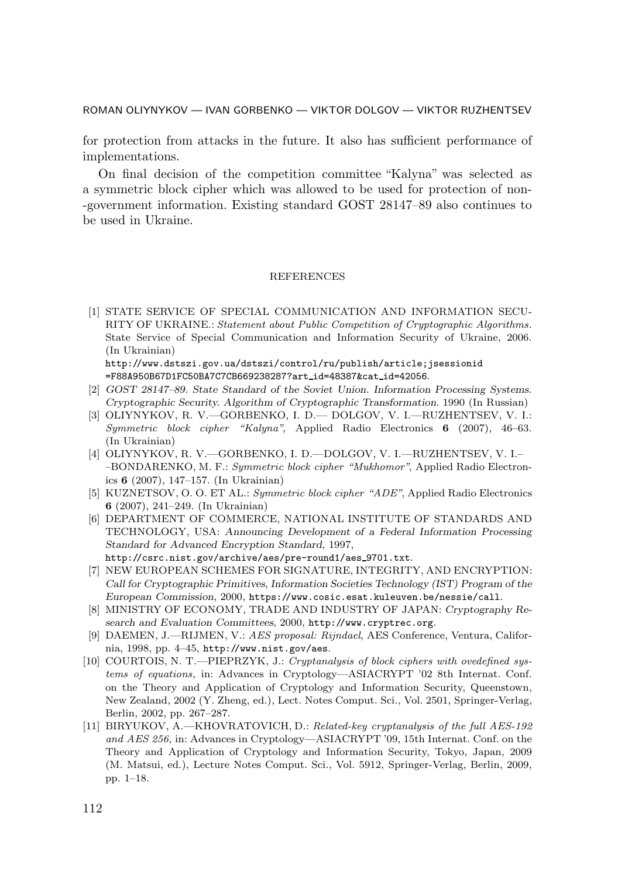for protection from attacks in the future. It also has sufficient performance of implementations.

On final decision of the competition committee "Kalyna" was selected as a symmetric block cipher which was allowed to be used for protection of non- -government information. Existing standard GOST 28147–89 also continues to be used in Ukraine.

#### REFERENCES

[1] STATE SERVICE OF SPECIAL COMMUNICATION AND INFORMATION SECU-RITY OF UKRAINE.: Statement about Public Competition of Cryptographic Algorithms. State Service of Special Communication and Information Security of Ukraine, 2006. (In Ukrainian)

http://www.dstszi.gov.ua/dstszi/control/ru/publish/article;jsessionid =F88A950B67D1FC50BA7C7CB669238287?art id=48387&cat id=42056.

- [2] GOST 28147–89. State Standard of the Soviet Union. Information Processing Systems. Cryptographic Security. Algorithm of Cryptographic Transformation. 1990 (In Russian)
- [3] OLIYNYKOV, R. V.—GORBENKO, I. D.— DOLGOV, V. I.—RUZHENTSEV, V. I.: Symmetric block cipher "Kalyna", Applied Radio Electronics 6 (2007), 46–63. (In Ukrainian)
- [4] OLIYNYKOV, R. V.—GORBENKO, I. D.—DOLGOV, V. I.—RUZHENTSEV, V. I.– –BONDARENKO, M. F.: Symmetric block cipher "Mukhomor", Applied Radio Electronics 6 (2007), 147–157. (In Ukrainian)
- [5] KUZNETSOV, O. O. ET AL.: Symmetric block cipher "ADE", Applied Radio Electronics 6 (2007), 241–249. (In Ukrainian)
- [6] DEPARTMENT OF COMMERCE, NATIONAL INSTITUTE OF STANDARDS AND TECHNOLOGY, USA: Announcing Development of a Federal Information Processing Standard for Advanced Encryption Standard, 1997, http://csrc.nist.gov/archive/aes/pre-round1/aes\_9701.txt.
- [7] NEW EUROPEAN SCHEMES FOR SIGNATURE, INTEGRITY, AND ENCRYPTION: Call for Cryptographic Primitives, Information Societies Technology (IST) Program of the European Commission, 2000, https://www.cosic.esat.kuleuven.be/nessie/call.
- [8] MINISTRY OF ECONOMY, TRADE AND INDUSTRY OF JAPAN: Cryptography Research and Evaluation Committees, 2000, http://www.cryptrec.org.
- [9] DAEMEN, J.—RIJMEN, V.: AES proposal: Rijndael, AES Conference, Ventura, California, 1998, pp. 4–45, http://www.nist.gov/aes.
- [10] COURTOIS, N. T.—PIEPRZYK, J.: Cryptanalysis of block ciphers with ovedefined systems of equations, in: Advances in Cryptology—ASIACRYPT '02 8th Internat. Conf. on the Theory and Application of Cryptology and Information Security, Queenstown, New Zealand, 2002 (Y. Zheng, ed.), Lect. Notes Comput. Sci., Vol. 2501, Springer-Verlag, Berlin, 2002, pp. 267–287.
- [11] BIRYUKOV, A.—KHOVRATOVICH, D.: Related-key cryptanalysis of the full AES-192 and AES 256, in: Advances in Cryptology—ASIACRYPT '09, 15th Internat. Conf. on the Theory and Application of Cryptology and Information Security, Tokyo, Japan, 2009 (M. Matsui, ed.), Lecture Notes Comput. Sci., Vol. 5912, Springer-Verlag, Berlin, 2009, pp. 1–18.